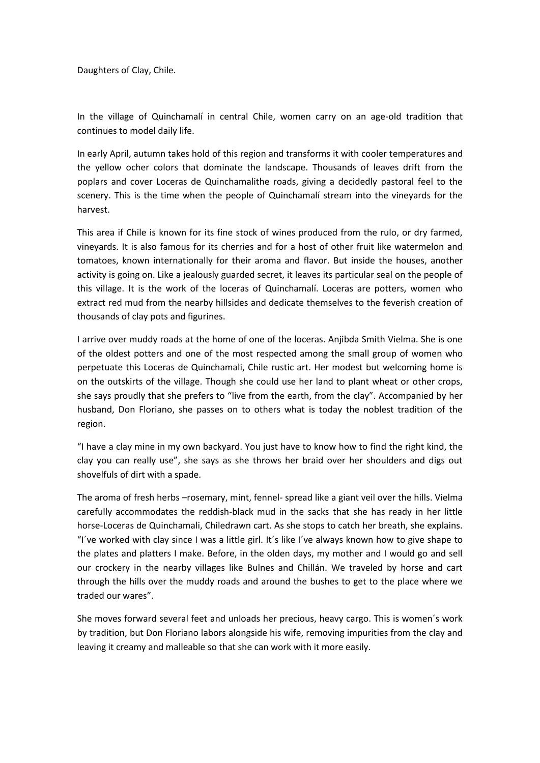Daughters of Clay, Chile.

In the village of Quinchamalí in central Chile, women carry on an age-old tradition that continues to model daily life.

In early April, autumn takes hold of this region and transforms it with cooler temperatures and the yellow ocher colors that dominate the landscape. Thousands of leaves drift from the poplars and cover Loceras de Quinchamalithe roads, giving a decidedly pastoral feel to the scenery. This is the time when the people of Quinchamalí stream into the vineyards for the harvest.

This area if Chile is known for its fine stock of wines produced from the rulo, or dry farmed, vineyards. It is also famous for its cherries and for a host of other fruit like watermelon and tomatoes, known internationally for their aroma and flavor. But inside the houses, another activity is going on. Like a jealously guarded secret, it leaves its particular seal on the people of this village. It is the work of the loceras of Quinchamalí. Loceras are potters, women who extract red mud from the nearby hillsides and dedicate themselves to the feverish creation of thousands of clay pots and figurines.

I arrive over muddy roads at the home of one of the loceras. Anjibda Smith Vielma. She is one of the oldest potters and one of the most respected among the small group of women who perpetuate this Loceras de Quinchamali, Chile rustic art. Her modest but welcoming home is on the outskirts of the village. Though she could use her land to plant wheat or other crops, she says proudly that she prefers to "live from the earth, from the clay". Accompanied by her husband, Don Floriano, she passes on to others what is today the noblest tradition of the region.

"I have a clay mine in my own backyard. You just have to know how to find the right kind, the clay you can really use", she says as she throws her braid over her shoulders and digs out shovelfuls of dirt with a spade.

The aroma of fresh herbs –rosemary, mint, fennel- spread like a giant veil over the hills. Vielma carefully accommodates the reddish-black mud in the sacks that she has ready in her little horse-Loceras de Quinchamali, Chiledrawn cart. As she stops to catch her breath, she explains. "I´ve worked with clay since I was a little girl. It´s like I´ve always known how to give shape to the plates and platters I make. Before, in the olden days, my mother and I would go and sell our crockery in the nearby villages like Bulnes and Chillán. We traveled by horse and cart through the hills over the muddy roads and around the bushes to get to the place where we traded our wares".

She moves forward several feet and unloads her precious, heavy cargo. This is women´s work by tradition, but Don Floriano labors alongside his wife, removing impurities from the clay and leaving it creamy and malleable so that she can work with it more easily.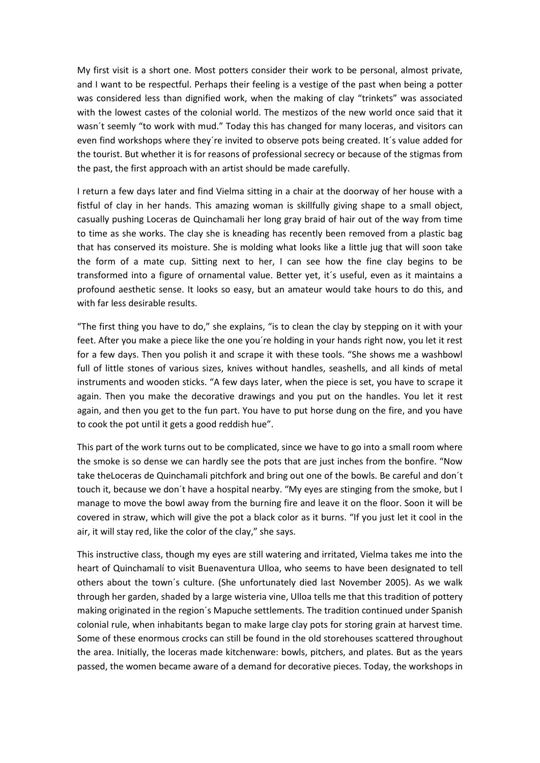My first visit is a short one. Most potters consider their work to be personal, almost private, and I want to be respectful. Perhaps their feeling is a vestige of the past when being a potter was considered less than dignified work, when the making of clay "trinkets" was associated with the lowest castes of the colonial world. The mestizos of the new world once said that it wasn´t seemly "to work with mud." Today this has changed for many loceras, and visitors can even find workshops where they're invited to observe pots being created. It's value added for the tourist. But whether it is for reasons of professional secrecy or because of the stigmas from the past, the first approach with an artist should be made carefully.

I return a few days later and find Vielma sitting in a chair at the doorway of her house with a fistful of clay in her hands. This amazing woman is skillfully giving shape to a small object, casually pushing Loceras de Quinchamali her long gray braid of hair out of the way from time to time as she works. The clay she is kneading has recently been removed from a plastic bag that has conserved its moisture. She is molding what looks like a little jug that will soon take the form of a mate cup. Sitting next to her, I can see how the fine clay begins to be transformed into a figure of ornamental value. Better yet, it´s useful, even as it maintains a profound aesthetic sense. It looks so easy, but an amateur would take hours to do this, and with far less desirable results.

"The first thing you have to do," she explains, "is to clean the clay by stepping on it with your feet. After you make a piece like the one you´re holding in your hands right now, you let it rest for a few days. Then you polish it and scrape it with these tools. "She shows me a washbowl full of little stones of various sizes, knives without handles, seashells, and all kinds of metal instruments and wooden sticks. "A few days later, when the piece is set, you have to scrape it again. Then you make the decorative drawings and you put on the handles. You let it rest again, and then you get to the fun part. You have to put horse dung on the fire, and you have to cook the pot until it gets a good reddish hue".

This part of the work turns out to be complicated, since we have to go into a small room where the smoke is so dense we can hardly see the pots that are just inches from the bonfire. "Now take theLoceras de Quinchamali pitchfork and bring out one of the bowls. Be careful and don´t touch it, because we don´t have a hospital nearby. "My eyes are stinging from the smoke, but I manage to move the bowl away from the burning fire and leave it on the floor. Soon it will be covered in straw, which will give the pot a black color as it burns. "If you just let it cool in the air, it will stay red, like the color of the clay," she says.

This instructive class, though my eyes are still watering and irritated, Vielma takes me into the heart of Quinchamalí to visit Buenaventura Ulloa, who seems to have been designated to tell others about the town´s culture. (She unfortunately died last November 2005). As we walk through her garden, shaded by a large wisteria vine, Ulloa tells me that this tradition of pottery making originated in the region´s Mapuche settlements. The tradition continued under Spanish colonial rule, when inhabitants began to make large clay pots for storing grain at harvest time. Some of these enormous crocks can still be found in the old storehouses scattered throughout the area. Initially, the loceras made kitchenware: bowls, pitchers, and plates. But as the years passed, the women became aware of a demand for decorative pieces. Today, the workshops in